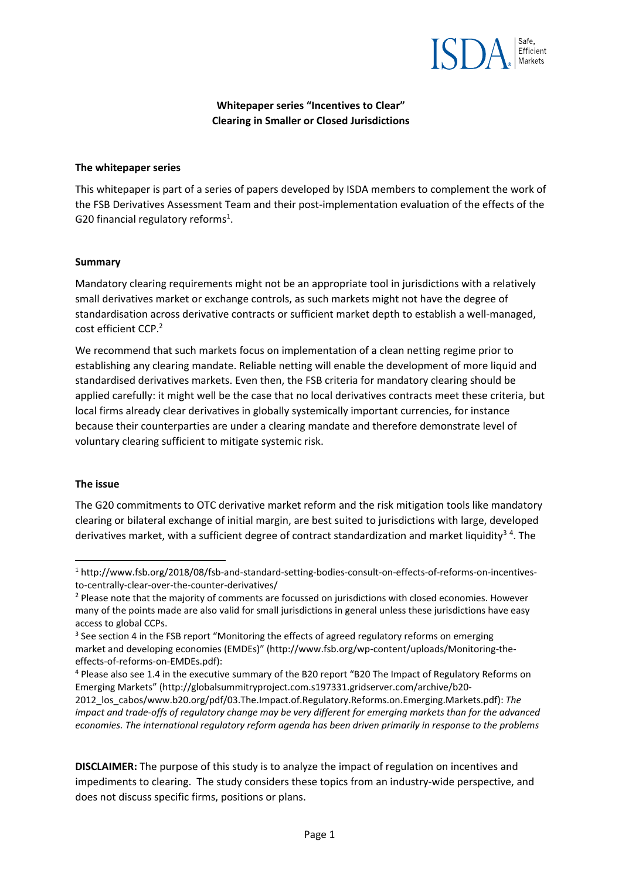

**Whitepaper series "Incentives to Clear" Clearing in Smaller or Closed Jurisdictions** 

#### **The whitepaper series**

This whitepaper is part of a series of papers developed by ISDA members to complement the work of the FSB Derivatives Assessment Team and their post‐implementation evaluation of the effects of the G20 financial regulatory reforms<sup>1</sup>.

#### **Summary**

Mandatory clearing requirements might not be an appropriate tool in jurisdictions with a relatively small derivatives market or exchange controls, as such markets might not have the degree of standardisation across derivative contracts or sufficient market depth to establish a well‐managed, cost efficient CCP.2

We recommend that such markets focus on implementation of a clean netting regime prior to establishing any clearing mandate. Reliable netting will enable the development of more liquid and standardised derivatives markets. Even then, the FSB criteria for mandatory clearing should be applied carefully: it might well be the case that no local derivatives contracts meet these criteria, but local firms already clear derivatives in globally systemically important currencies, for instance because their counterparties are under a clearing mandate and therefore demonstrate level of voluntary clearing sufficient to mitigate systemic risk.

### **The issue**

The G20 commitments to OTC derivative market reform and the risk mitigation tools like mandatory clearing or bilateral exchange of initial margin, are best suited to jurisdictions with large, developed derivatives market, with a sufficient degree of contract standardization and market liquidity<sup>34</sup>. The

<sup>4</sup> Please also see 1.4 in the executive summary of the B20 report "B20 The Impact of Regulatory Reforms on Emerging Markets" (http://globalsummitryproject.com.s197331.gridserver.com/archive/b20‐

**DISCLAIMER:** The purpose of this study is to analyze the impact of regulation on incentives and impediments to clearing. The study considers these topics from an industry-wide perspective, and does not discuss specific firms, positions or plans.

<sup>1</sup> http://www.fsb.org/2018/08/fsb‐and‐standard‐setting‐bodies‐consult‐on‐effects‐of‐reforms‐on‐incentives‐ to-centrally-clear-over-the-counter-derivatives/

<sup>&</sup>lt;sup>2</sup> Please note that the majority of comments are focussed on jurisdictions with closed economies. However many of the points made are also valid for small jurisdictions in general unless these jurisdictions have easy access to global CCPs.

<sup>&</sup>lt;sup>3</sup> See section 4 in the FSB report "Monitoring the effects of agreed regulatory reforms on emerging market and developing economies (EMDEs)" (http://www.fsb.org/wp‐content/uploads/Monitoring‐the‐ effects‐of‐reforms‐on‐EMDEs.pdf):

<sup>2012</sup>\_los\_cabos/www.b20.org/pdf/03.The.Impact.of.Regulatory.Reforms.on.Emerging.Markets.pdf): *The impact and trade‐offs of regulatory change may be very different for emerging markets than for the advanced economies. The international regulatory reform agenda has been driven primarily in response to the problems*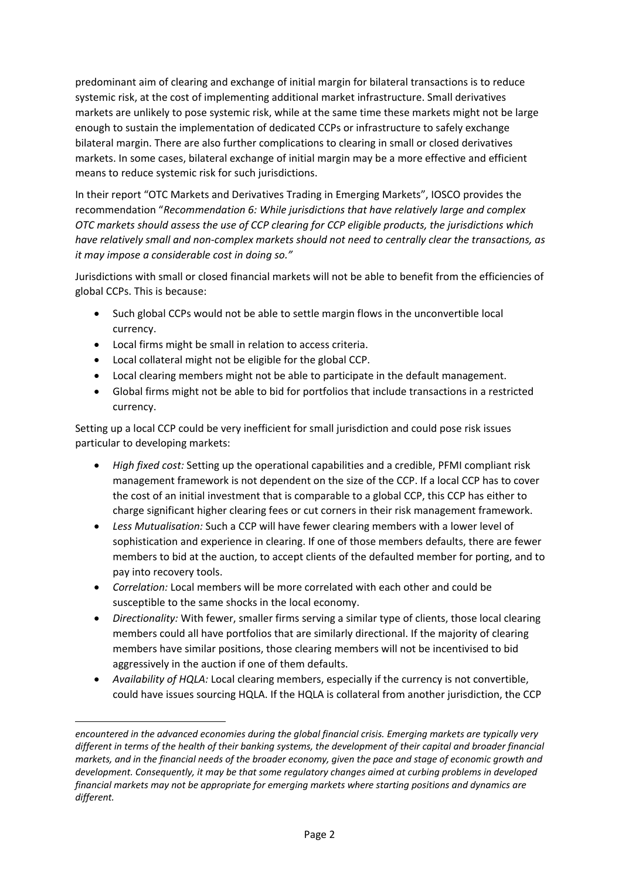predominant aim of clearing and exchange of initial margin for bilateral transactions is to reduce systemic risk, at the cost of implementing additional market infrastructure. Small derivatives markets are unlikely to pose systemic risk, while at the same time these markets might not be large enough to sustain the implementation of dedicated CCPs or infrastructure to safely exchange bilateral margin. There are also further complications to clearing in small or closed derivatives markets. In some cases, bilateral exchange of initial margin may be a more effective and efficient means to reduce systemic risk for such jurisdictions.

In their report "OTC Markets and Derivatives Trading in Emerging Markets", IOSCO provides the recommendation "*Recommendation 6: While jurisdictions that have relatively large and complex OTC markets should assess the use of CCP clearing for CCP eligible products, the jurisdictions which have relatively small and non‐complex markets should not need to centrally clear the transactions, as it may impose a considerable cost in doing so."*

Jurisdictions with small or closed financial markets will not be able to benefit from the efficiencies of global CCPs. This is because:

- Such global CCPs would not be able to settle margin flows in the unconvertible local currency.
- Local firms might be small in relation to access criteria.
- Local collateral might not be eligible for the global CCP.

- Local clearing members might not be able to participate in the default management.
- Global firms might not be able to bid for portfolios that include transactions in a restricted currency.

Setting up a local CCP could be very inefficient for small jurisdiction and could pose risk issues particular to developing markets:

- *High fixed cost:* Setting up the operational capabilities and a credible, PFMI compliant risk management framework is not dependent on the size of the CCP. If a local CCP has to cover the cost of an initial investment that is comparable to a global CCP, this CCP has either to charge significant higher clearing fees or cut corners in their risk management framework.
- *Less Mutualisation:* Such a CCP will have fewer clearing members with a lower level of sophistication and experience in clearing. If one of those members defaults, there are fewer members to bid at the auction, to accept clients of the defaulted member for porting, and to pay into recovery tools.
- *Correlation:* Local members will be more correlated with each other and could be susceptible to the same shocks in the local economy.
- *Directionality:* With fewer, smaller firms serving a similar type of clients, those local clearing members could all have portfolios that are similarly directional. If the majority of clearing members have similar positions, those clearing members will not be incentivised to bid aggressively in the auction if one of them defaults.
- *Availability of HQLA:* Local clearing members, especially if the currency is not convertible, could have issues sourcing HQLA. If the HQLA is collateral from another jurisdiction, the CCP

*encountered in the advanced economies during the global financial crisis. Emerging markets are typically very different in terms of the health of their banking systems, the development of their capital and broader financial markets, and in the financial needs of the broader economy, given the pace and stage of economic growth and development. Consequently, it may be that some regulatory changes aimed at curbing problems in developed financial markets may not be appropriate for emerging markets where starting positions and dynamics are different.*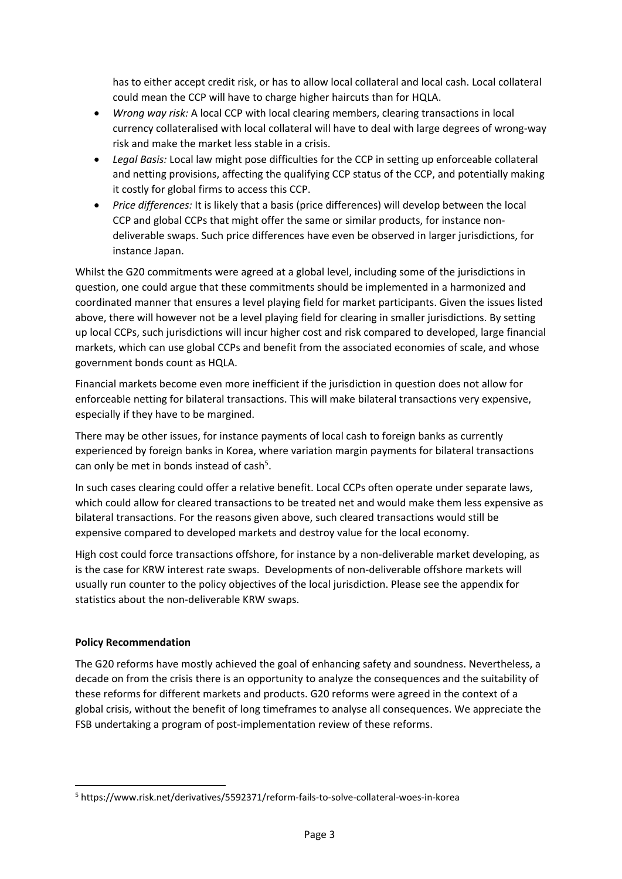has to either accept credit risk, or has to allow local collateral and local cash. Local collateral could mean the CCP will have to charge higher haircuts than for HQLA.

- *Wrong way risk:* A local CCP with local clearing members, clearing transactions in local currency collateralised with local collateral will have to deal with large degrees of wrong‐way risk and make the market less stable in a crisis.
- *Legal Basis:* Local law might pose difficulties for the CCP in setting up enforceable collateral and netting provisions, affecting the qualifying CCP status of the CCP, and potentially making it costly for global firms to access this CCP.
- *Price differences:* It is likely that a basis (price differences) will develop between the local CCP and global CCPs that might offer the same or similar products, for instance non‐ deliverable swaps. Such price differences have even be observed in larger jurisdictions, for instance Japan.

Whilst the G20 commitments were agreed at a global level, including some of the jurisdictions in question, one could argue that these commitments should be implemented in a harmonized and coordinated manner that ensures a level playing field for market participants. Given the issues listed above, there will however not be a level playing field for clearing in smaller jurisdictions. By setting up local CCPs, such jurisdictions will incur higher cost and risk compared to developed, large financial markets, which can use global CCPs and benefit from the associated economies of scale, and whose government bonds count as HQLA.

Financial markets become even more inefficient if the jurisdiction in question does not allow for enforceable netting for bilateral transactions. This will make bilateral transactions very expensive, especially if they have to be margined.

There may be other issues, for instance payments of local cash to foreign banks as currently experienced by foreign banks in Korea, where variation margin payments for bilateral transactions can only be met in bonds instead of cash<sup>5</sup>.

In such cases clearing could offer a relative benefit. Local CCPs often operate under separate laws, which could allow for cleared transactions to be treated net and would make them less expensive as bilateral transactions. For the reasons given above, such cleared transactions would still be expensive compared to developed markets and destroy value for the local economy.

High cost could force transactions offshore, for instance by a non-deliverable market developing, as is the case for KRW interest rate swaps. Developments of non-deliverable offshore markets will usually run counter to the policy objectives of the local jurisdiction. Please see the appendix for statistics about the non‐deliverable KRW swaps.

## **Policy Recommendation**

The G20 reforms have mostly achieved the goal of enhancing safety and soundness. Nevertheless, a decade on from the crisis there is an opportunity to analyze the consequences and the suitability of these reforms for different markets and products. G20 reforms were agreed in the context of a global crisis, without the benefit of long timeframes to analyse all consequences. We appreciate the FSB undertaking a program of post-implementation review of these reforms.

<sup>5</sup> https://www.risk.net/derivatives/5592371/reform‐fails‐to‐solve‐collateral‐woes‐in‐korea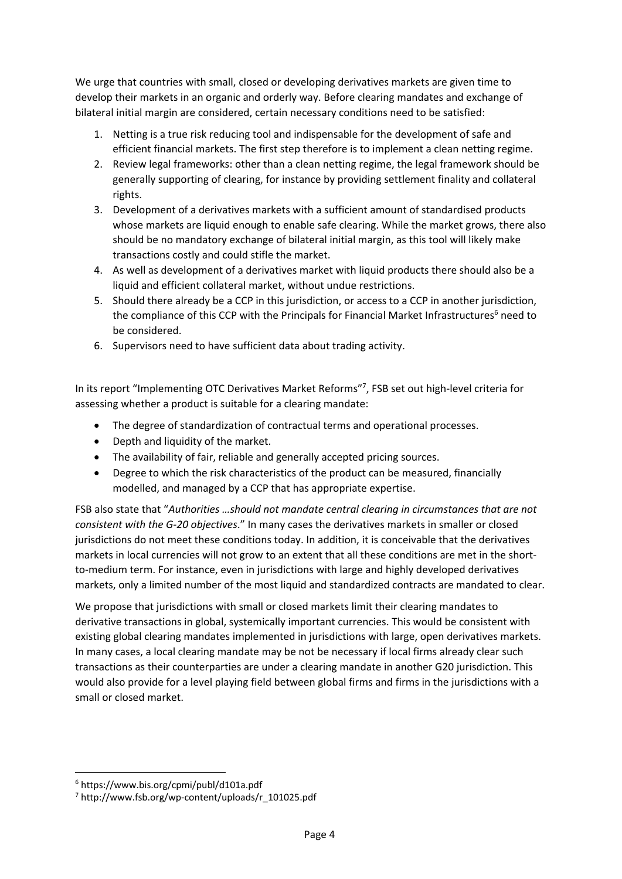We urge that countries with small, closed or developing derivatives markets are given time to develop their markets in an organic and orderly way. Before clearing mandates and exchange of bilateral initial margin are considered, certain necessary conditions need to be satisfied:

- 1. Netting is a true risk reducing tool and indispensable for the development of safe and efficient financial markets. The first step therefore is to implement a clean netting regime.
- 2. Review legal frameworks: other than a clean netting regime, the legal framework should be generally supporting of clearing, for instance by providing settlement finality and collateral rights.
- 3. Development of a derivatives markets with a sufficient amount of standardised products whose markets are liquid enough to enable safe clearing. While the market grows, there also should be no mandatory exchange of bilateral initial margin, as this tool will likely make transactions costly and could stifle the market.
- 4. As well as development of a derivatives market with liquid products there should also be a liquid and efficient collateral market, without undue restrictions.
- 5. Should there already be a CCP in this jurisdiction, or access to a CCP in another jurisdiction, the compliance of this CCP with the Principals for Financial Market Infrastructures<sup>6</sup> need to be considered.
- 6. Supervisors need to have sufficient data about trading activity.

In its report "Implementing OTC Derivatives Market Reforms"7, FSB set out high-level criteria for assessing whether a product is suitable for a clearing mandate:

- The degree of standardization of contractual terms and operational processes.
- Depth and liquidity of the market.
- The availability of fair, reliable and generally accepted pricing sources.
- Degree to which the risk characteristics of the product can be measured, financially modelled, and managed by a CCP that has appropriate expertise.

FSB also state that "*Authorities …should not mandate central clearing in circumstances that are not consistent with the G‐20 objectives*." In many cases the derivatives markets in smaller or closed jurisdictions do not meet these conditions today. In addition, it is conceivable that the derivatives markets in local currencies will not grow to an extent that all these conditions are met in the shortto-medium term. For instance, even in jurisdictions with large and highly developed derivatives markets, only a limited number of the most liquid and standardized contracts are mandated to clear.

We propose that jurisdictions with small or closed markets limit their clearing mandates to derivative transactions in global, systemically important currencies. This would be consistent with existing global clearing mandates implemented in jurisdictions with large, open derivatives markets. In many cases, a local clearing mandate may be not be necessary if local firms already clear such transactions as their counterparties are under a clearing mandate in another G20 jurisdiction. This would also provide for a level playing field between global firms and firms in the jurisdictions with a small or closed market.

<sup>6</sup> https://www.bis.org/cpmi/publ/d101a.pdf

<sup>7</sup> http://www.fsb.org/wp‐content/uploads/r\_101025.pdf